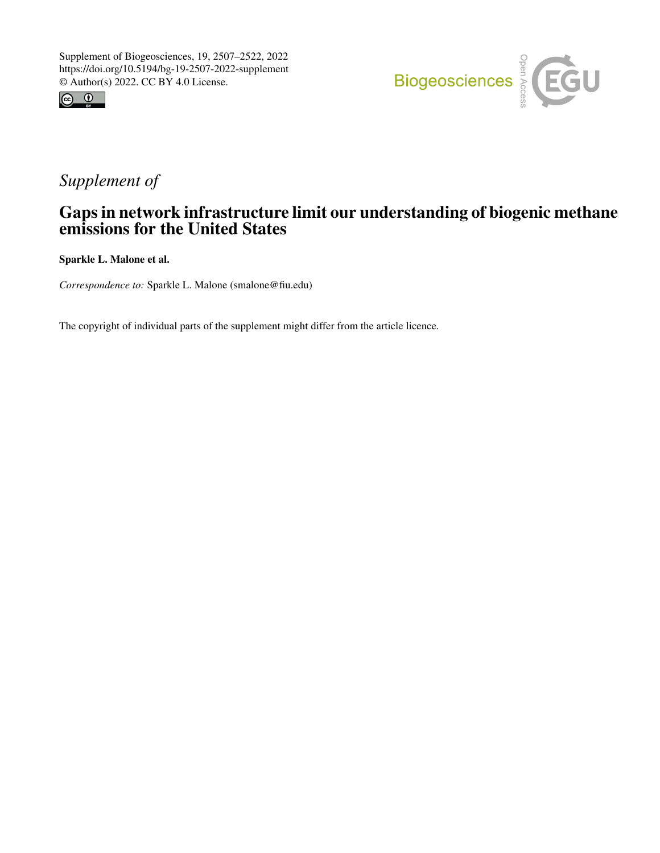



## *Supplement of*

## Gaps in network infrastructure limit our understanding of biogenic methane emissions for the United States

Sparkle L. Malone et al.

*Correspondence to:* Sparkle L. Malone (smalone@fiu.edu)

The copyright of individual parts of the supplement might differ from the article licence.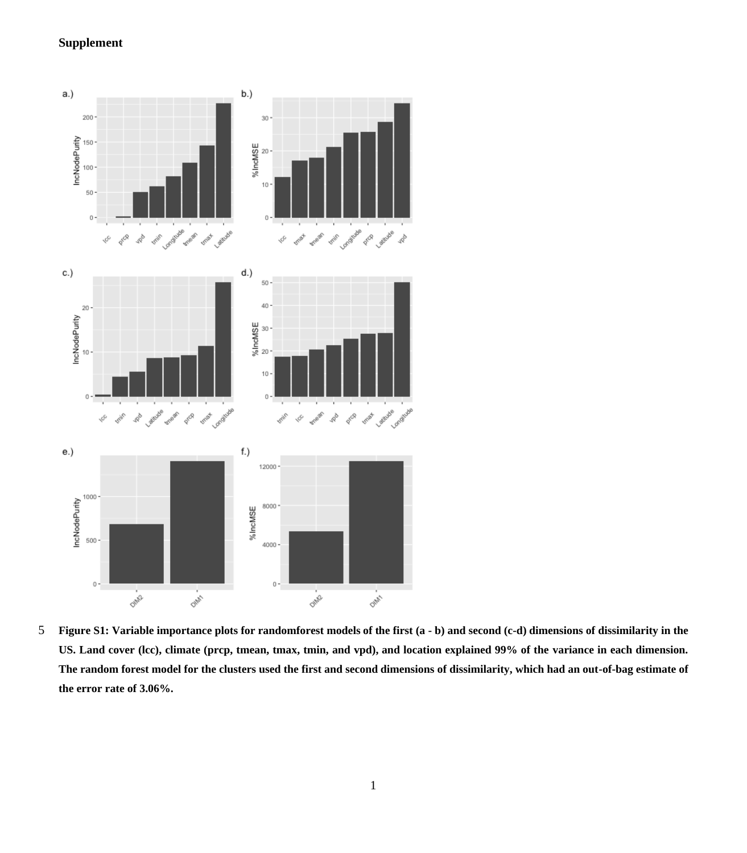## **Supplement**



5 **Figure S1: Variable importance plots for randomforest models of the first (a - b) and second (c-d) dimensions of dissimilarity in the US. Land cover (lcc), climate (prcp, tmean, tmax, tmin, and vpd), and location explained 99% of the variance in each dimension. The random forest model for the clusters used the first and second dimensions of dissimilarity, which had an out-of-bag estimate of the error rate of 3.06%.**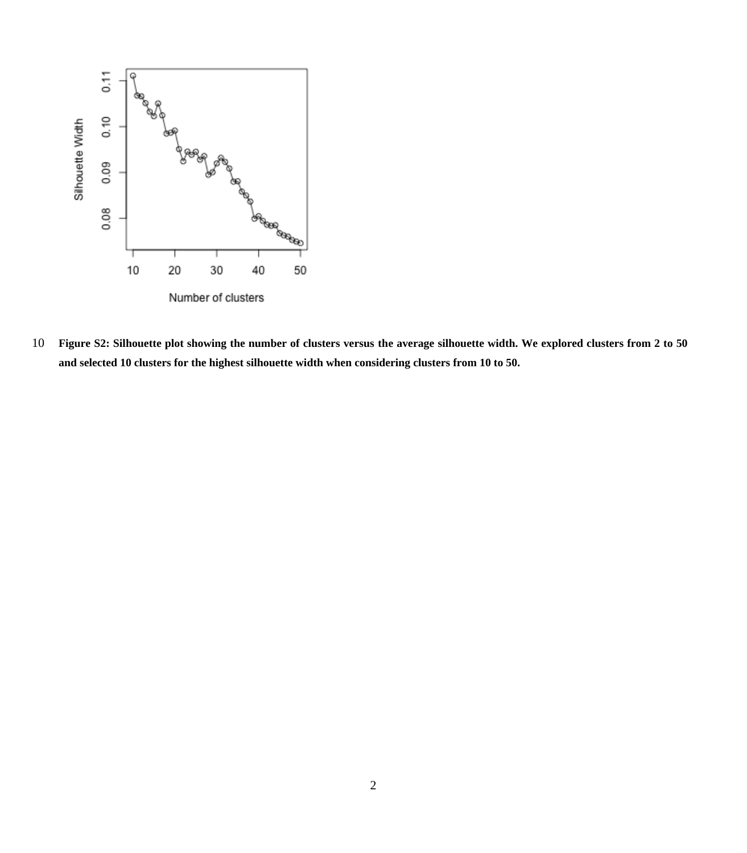

 **Figure S2: Silhouette plot showing the number of clusters versus the average silhouette width. We explored clusters from 2 to 50 and selected 10 clusters for the highest silhouette width when considering clusters from 10 to 50.**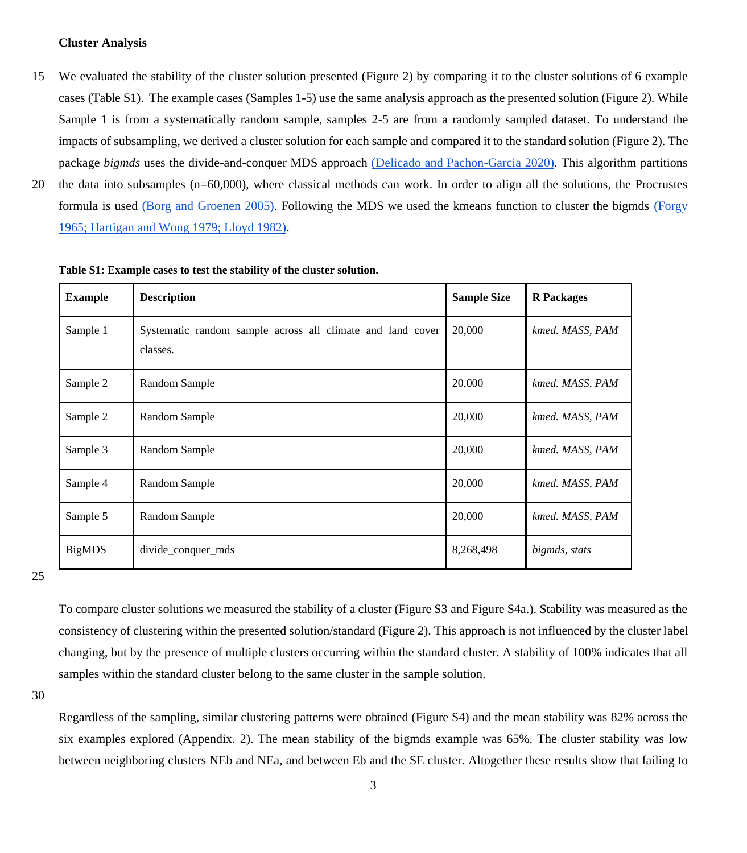## **Cluster Analysis**

- 15 We evaluated the stability of the cluster solution presented (Figure 2) by comparing it to the cluster solutions of 6 example cases (Table S1). The example cases (Samples 1-5) use the same analysis approach as the presented solution (Figure 2). While Sample 1 is from a systematically random sample, samples 2-5 are from a randomly sampled dataset. To understand the impacts of subsampling, we derived a cluster solution for each sample and compared it to the standard solution (Figure 2). The package *bigmds* uses the divide-and-conquer MDS approach [\(Delicado and Pachon-Garcia 2020\).](https://paperpile.com/c/kWh1k8/xnEn) This algorithm partitions
- 20 the data into subsamples (n=60,000), where classical methods can work. In order to align all the solutions, the Procrustes formula is used [\(Borg and Groenen 2005\).](https://paperpile.com/c/kWh1k8/LuAJ) Following the MDS we used the kmeans function to cluster the bigmds [\(Forgy](https://paperpile.com/c/kWh1k8/Uzms+txLo+BL9V)  [1965; Hartigan and Wong 1979; Lloyd 1982\).](https://paperpile.com/c/kWh1k8/Uzms+txLo+BL9V)

| <b>Example</b> | <b>Description</b>                                                     | <b>Sample Size</b> | <b>R</b> Packages |
|----------------|------------------------------------------------------------------------|--------------------|-------------------|
| Sample 1       | Systematic random sample across all climate and land cover<br>classes. | 20,000             | kmed. MASS, PAM   |
| Sample 2       | Random Sample                                                          | 20,000             | kmed. MASS, PAM   |
| Sample 2       | Random Sample                                                          | 20,000             | kmed. MASS, PAM   |
| Sample 3       | Random Sample                                                          | 20,000             | kmed. MASS, PAM   |
| Sample 4       | Random Sample                                                          | 20,000             | kmed. MASS, PAM   |
| Sample 5       | Random Sample                                                          | 20,000             | kmed. MASS, PAM   |
| <b>BigMDS</b>  | divide_conquer_mds                                                     | 8,268,498          | bigmds, stats     |

**Table S1: Example cases to test the stability of the cluster solution.**

25

To compare cluster solutions we measured the stability of a cluster (Figure S3 and Figure S4a.). Stability was measured as the consistency of clustering within the presented solution/standard (Figure 2). This approach is not influenced by the cluster label changing, but by the presence of multiple clusters occurring within the standard cluster. A stability of 100% indicates that all samples within the standard cluster belong to the same cluster in the sample solution.

30

Regardless of the sampling, similar clustering patterns were obtained (Figure S4) and the mean stability was 82% across the six examples explored (Appendix. 2). The mean stability of the bigmds example was 65%. The cluster stability was low between neighboring clusters NEb and NEa, and between Eb and the SE cluster. Altogether these results show that failing to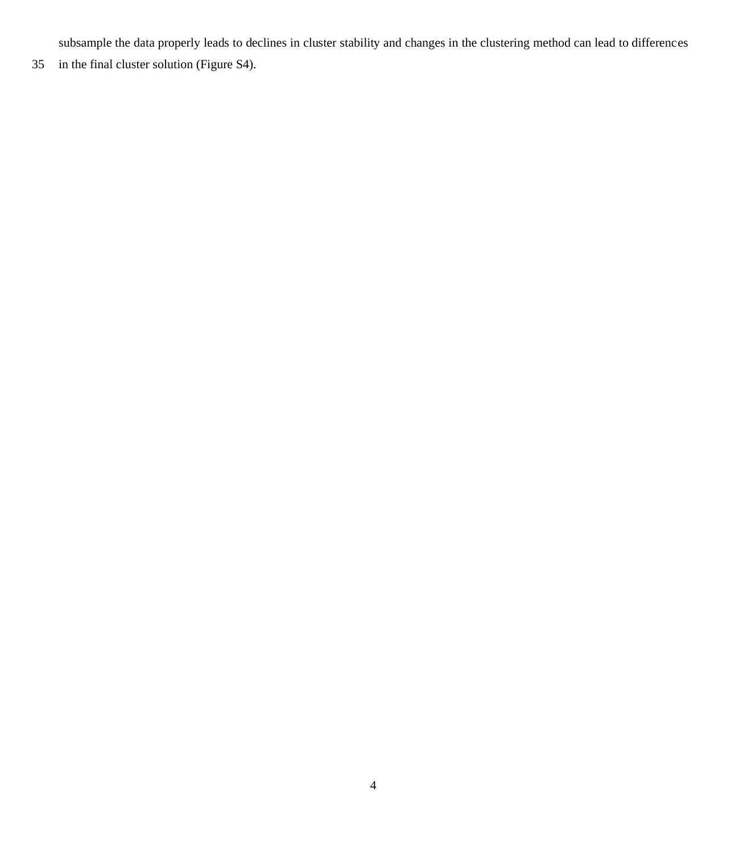subsample the data properly leads to declines in cluster stability and changes in the clustering method can lead to differences

in the final cluster solution (Figure S4).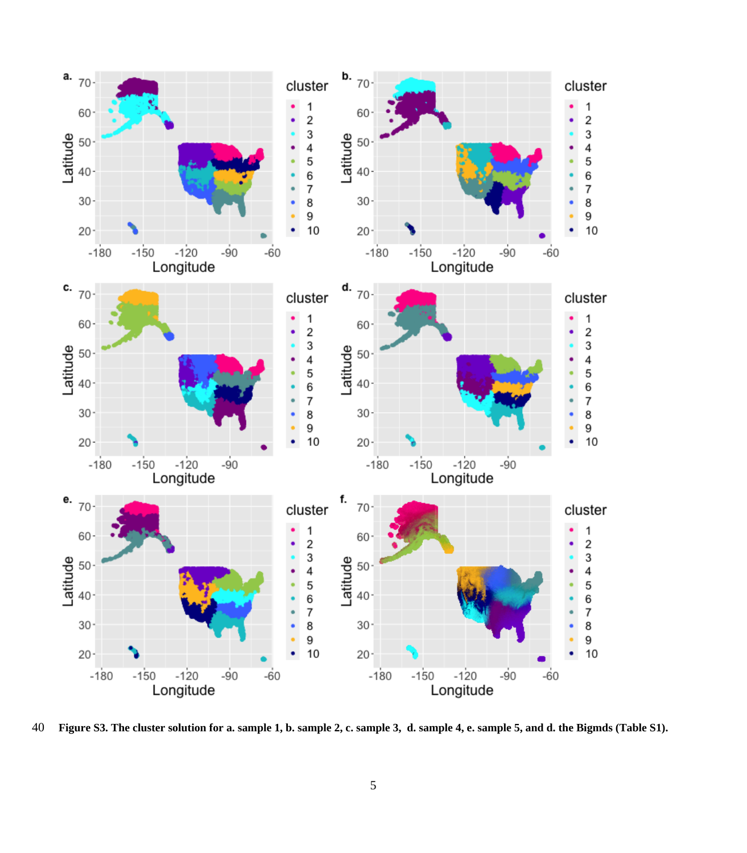

**Figure S3. The cluster solution for a. sample 1, b. sample 2, c. sample 3, d. sample 4, e. sample 5, and d. the Bigmds (Table S1).**